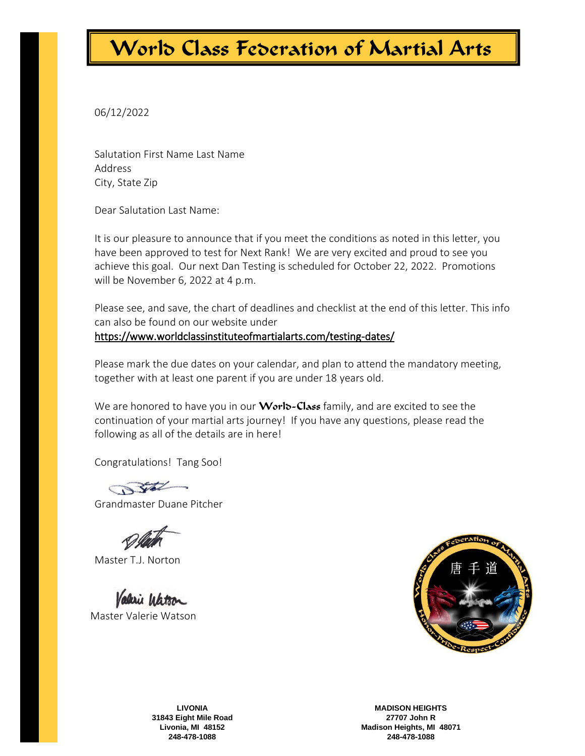06/12/2022

Salutation First Name Last Name Address City, State Zip

Dear Salutation Last Name:

It is our pleasure to announce that if you meet the conditions as noted in this letter, you have been approved to test for Next Rank! We are very excited and proud to see you achieve this goal. Our next Dan Testing is scheduled for October 22, 2022. Promotions will be November 6, 2022 at 4 p.m.

Please see, and save, the chart of deadlines and checklist at the end of this letter. This info can also be found on our website under

<https://www.worldclassinstituteofmartialarts.com/testing-dates/>

Please mark the due dates on your calendar, and plan to attend the mandatory meeting, together with at least one parent if you are under 18 years old.

We are honored to have you in our **Worlo-Class** family, and are excited to see the continuation of your martial arts journey! If you have any questions, please read the following as all of the details are in here!

Congratulations! Tang Soo!

Grandmaster Duane Pitcher

Master T.J. Norton

Valerie Watson Master Valerie Watson



**LIVONIA 31843 Eight Mile Road Livonia, MI 48152 248-478-1088**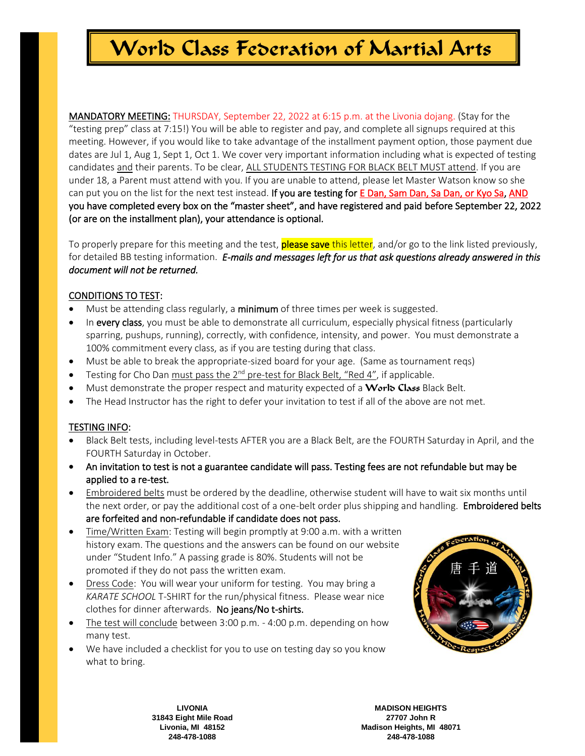MANDATORY MEETING: THURSDAY, September 22, 2022 at 6:15 p.m. at the Livonia dojang. (Stay for the "testing prep" class at 7:15!) You will be able to register and pay, and complete all signups required at this meeting. However, if you would like to take advantage of the installment payment option, those payment due dates are Jul 1, Aug 1, Sept 1, Oct 1. We cover very important information including what is expected of testing candidates and their parents. To be clear, ALL STUDENTS TESTING FOR BLACK BELT MUST attend. If you are under 18, a Parent must attend with you. If you are unable to attend, please let Master Watson know so she can put you on the list for the next test instead. If you are testing for E Dan, Sam Dan, Sa Dan, or Kyo Sa, AND you have completed every box on the "master sheet", and have registered and paid before September 22, 2022 (or are on the installment plan), your attendance is optional.

To properly prepare for this meeting and the test, **please save** this letter, and/or go to the link listed previously, for detailed BB testing information. *E-mails and messages left for us that ask questions already answered in this document will not be returned.* 

### CONDITIONS TO TEST:

- Must be attending class regularly, a minimum of three times per week is suggested.
- In every class, you must be able to demonstrate all curriculum, especially physical fitness (particularly sparring, pushups, running), correctly, with confidence, intensity, and power. You must demonstrate a 100% commitment every class, as if you are testing during that class.
- Must be able to break the appropriate-sized board for your age. (Same as tournament reqs)
- Testing for Cho Dan must pass the  $2^{nd}$  pre-test for Black Belt, "Red 4", if applicable.
- Must demonstrate the proper respect and maturity expected of a World Class Black Belt.
- The Head Instructor has the right to defer your invitation to test if all of the above are not met.

### TESTING INFO:

- Black Belt tests, including level-tests AFTER you are a Black Belt, are the FOURTH Saturday in April, and the FOURTH Saturday in October.
- An invitation to test is not a guarantee candidate will pass. Testing fees are not refundable but may be applied to a re-test.
- Embroidered belts must be ordered by the deadline, otherwise student will have to wait six months until the next order, or pay the additional cost of a one-belt order plus shipping and handling. **Embroidered belts** are forfeited and non-refundable if candidate does not pass.
- Time/Written Exam: Testing will begin promptly at 9:00 a.m. with a written history exam. The questions and the answers can be found on our website under "Student Info." A passing grade is 80%. Students will not be promoted if they do not pass the written exam.
- Dress Code: You will wear your uniform for testing. You may bring a *KARATE SCHOOL* T-SHIRT for the run/physical fitness. Please wear nice clothes for dinner afterwards. No jeans/No t-shirts.
- The test will conclude between 3:00 p.m. 4:00 p.m. depending on how many test.
- We have included a checklist for you to use on testing day so you know what to bring.



**LIVONIA 31843 Eight Mile Road Livonia, MI 48152 248-478-1088**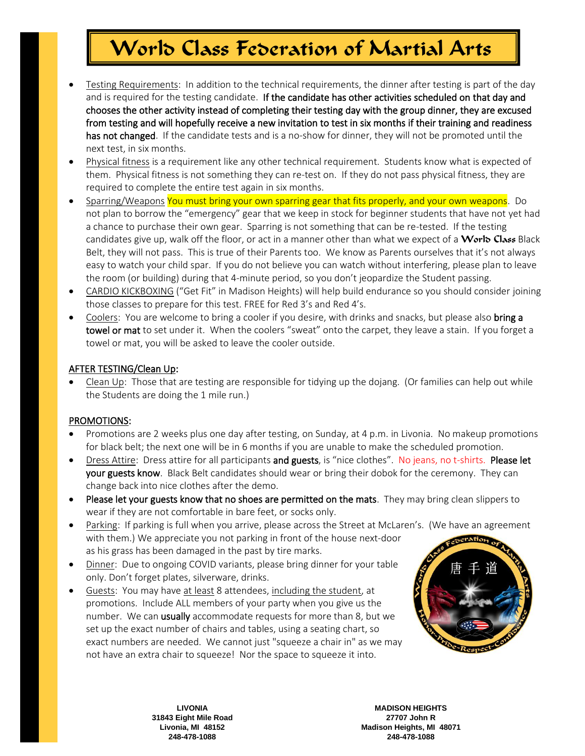- Testing Requirements: In addition to the technical requirements, the dinner after testing is part of the day and is required for the testing candidate. If the candidate has other activities scheduled on that day and chooses the other activity instead of completing their testing day with the group dinner, they are excused from testing and will hopefully receive a new invitation to test in six months if their training and readiness has not changed. If the candidate tests and is a no-show for dinner, they will not be promoted until the next test, in six months.
- Physical fitness is a requirement like any other technical requirement. Students know what is expected of them. Physical fitness is not something they can re-test on. If they do not pass physical fitness, they are required to complete the entire test again in six months.
- Sparring/Weapons You must bring your own sparring gear that fits properly, and your own weapons. Do not plan to borrow the "emergency" gear that we keep in stock for beginner students that have not yet had a chance to purchase their own gear. Sparring is not something that can be re-tested. If the testing candidates give up, walk off the floor, or act in a manner other than what we expect of a **World Class** Black Belt, they will not pass. This is true of their Parents too. We know as Parents ourselves that it's not always easy to watch your child spar. If you do not believe you can watch without interfering, please plan to leave the room (or building) during that 4-minute period, so you don't jeopardize the Student passing.
- CARDIO KICKBOXING ("Get Fit" in Madison Heights) will help build endurance so you should consider joining those classes to prepare for this test. FREE for Red 3's and Red 4's.
- Coolers: You are welcome to bring a cooler if you desire, with drinks and snacks, but please also **bring a** towel or mat to set under it. When the coolers "sweat" onto the carpet, they leave a stain. If you forget a towel or mat, you will be asked to leave the cooler outside.

### AFTER TESTING/Clean Up:

• Clean Up: Those that are testing are responsible for tidying up the dojang. (Or families can help out while the Students are doing the 1 mile run.)

#### PROMOTIONS:

- Promotions are 2 weeks plus one day after testing, on Sunday, at 4 p.m. in Livonia. No makeup promotions for black belt; the next one will be in 6 months if you are unable to make the scheduled promotion.
- Dress Attire: Dress attire for all participants and guests, is "nice clothes". No jeans, no t-shirts. Please let your guests know. Black Belt candidates should wear or bring their dobok for the ceremony. They can change back into nice clothes after the demo.
- Please let your guests know that no shoes are permitted on the mats. They may bring clean slippers to wear if they are not comfortable in bare feet, or socks only.
- Parking: If parking is full when you arrive, please across the Street at McLaren's. (We have an agreement with them.) We appreciate you not parking in front of the house next-door as his grass has been damaged in the past by tire marks.
- Dinner: Due to ongoing COVID variants, please bring dinner for your table only. Don't forget plates, silverware, drinks.
- Guests: You may have at least 8 attendees, including the student, at promotions. Include ALL members of your party when you give us the number. We can usually accommodate requests for more than 8, but we set up the exact number of chairs and tables, using a seating chart, so exact numbers are needed. We cannot just "squeeze a chair in" as we may not have an extra chair to squeeze! Nor the space to squeeze it into.



**LIVONIA 31843 Eight Mile Road Livonia, MI 48152 248-478-1088**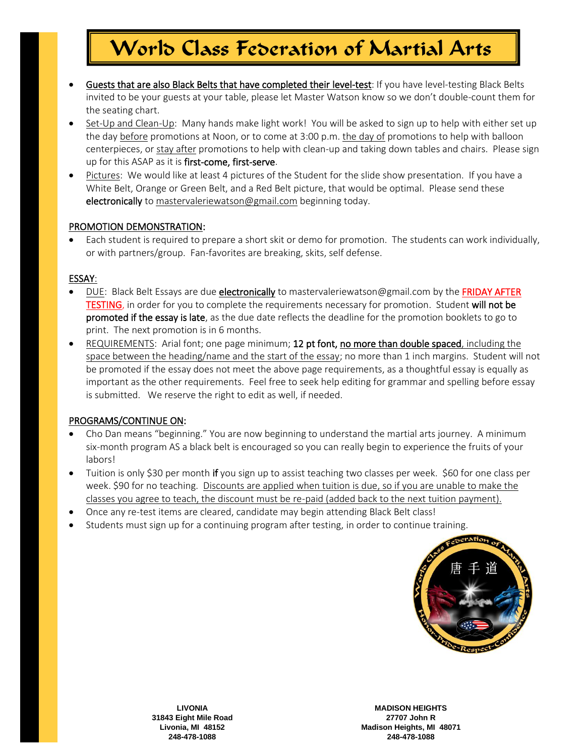- Guests that are also Black Belts that have completed their level-test: If you have level-testing Black Belts invited to be your guests at your table, please let Master Watson know so we don't double-count them for the seating chart.
- Set-Up and Clean-Up: Many hands make light work! You will be asked to sign up to help with either set up the day before promotions at Noon, or to come at 3:00 p.m. the day of promotions to help with balloon centerpieces, or stay after promotions to help with clean-up and taking down tables and chairs. Please sign up for this ASAP as it is first-come, first-serve.
- Pictures: We would like at least 4 pictures of the Student for the slide show presentation. If you have a White Belt, Orange or Green Belt, and a Red Belt picture, that would be optimal. Please send these electronically to [mastervaleriewatson@gmail.com](mailto:worldclassima@twmi.rr.com) beginning today.

#### PROMOTION DEMONSTRATION:

• Each student is required to prepare a short skit or demo for promotion. The students can work individually, or with partners/group. Fan-favorites are breaking, skits, self defense.

#### ESSAY:

- DUE: Black Belt Essays are due electronically t[o mastervaleriewatson@gmail.com](mailto:worldclassima@twmi.rr.com) by the FRIDAY AFTER TESTING, in order for you to complete the requirements necessary for promotion. Student will not be promoted if the essay is late, as the due date reflects the deadline for the promotion booklets to go to print. The next promotion is in 6 months.
- REQUIREMENTS: Arial font; one page minimum; 12 pt font, no more than double spaced, including the space between the heading/name and the start of the essay; no more than 1 inch margins. Student will not be promoted if the essay does not meet the above page requirements, as a thoughtful essay is equally as important as the other requirements. Feel free to seek help editing for grammar and spelling before essay is submitted. We reserve the right to edit as well, if needed.

#### PROGRAMS/CONTINUE ON:

- Cho Dan means "beginning." You are now beginning to understand the martial arts journey. A minimum six-month program AS a black belt is encouraged so you can really begin to experience the fruits of your labors!
- Tuition is only \$30 per month if you sign up to assist teaching two classes per week. \$60 for one class per week. \$90 for no teaching. Discounts are applied when tuition is due, so if you are unable to make the classes you agree to teach, the discount must be re-paid (added back to the next tuition payment).
- Once any re-test items are cleared, candidate may begin attending Black Belt class!
- Students must sign up for a continuing program after testing, in order to continue training.



**LIVONIA 31843 Eight Mile Road Livonia, MI 48152 248-478-1088**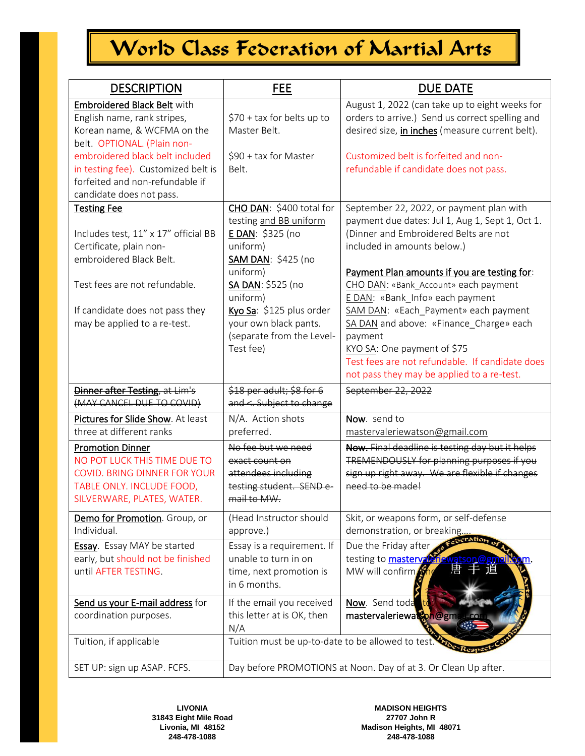| <b>DESCRIPTION</b>                                                                                                                                                                                                                                                | <b>FEE</b>                                                                                                                                                                                                                                                  | DUE DATE                                                                                                                                                                                                                                                                                                                                                                                                                                                                                                                     |
|-------------------------------------------------------------------------------------------------------------------------------------------------------------------------------------------------------------------------------------------------------------------|-------------------------------------------------------------------------------------------------------------------------------------------------------------------------------------------------------------------------------------------------------------|------------------------------------------------------------------------------------------------------------------------------------------------------------------------------------------------------------------------------------------------------------------------------------------------------------------------------------------------------------------------------------------------------------------------------------------------------------------------------------------------------------------------------|
| Embroidered Black Belt with<br>English name, rank stripes,<br>Korean name, & WCFMA on the<br>belt. OPTIONAL. (Plain non-<br>embroidered black belt included<br>in testing fee). Customized belt is<br>forfeited and non-refundable if<br>candidate does not pass. | \$70 + tax for belts up to<br>Master Belt.<br>\$90 + tax for Master<br>Belt.                                                                                                                                                                                | August 1, 2022 (can take up to eight weeks for<br>orders to arrive.) Send us correct spelling and<br>desired size, <i>in inches</i> (measure current belt).<br>Customized belt is forfeited and non-<br>refundable if candidate does not pass.                                                                                                                                                                                                                                                                               |
| <b>Testing Fee</b><br>Includes test, 11" x 17" official BB<br>Certificate, plain non-<br>embroidered Black Belt.<br>Test fees are not refundable.<br>If candidate does not pass they<br>may be applied to a re-test.                                              | CHO DAN: \$400 total for<br>testing and BB uniform<br>E DAN: \$325 (no<br>uniform)<br><b>SAM DAN: \$425 (no</b><br>uniform)<br>SA DAN: \$525 (no<br>uniform)<br>Kyo Sa: \$125 plus order<br>your own black pants.<br>(separate from the Level-<br>Test fee) | September 22, 2022, or payment plan with<br>payment due dates: Jul 1, Aug 1, Sept 1, Oct 1.<br>(Dinner and Embroidered Belts are not<br>included in amounts below.)<br>Payment Plan amounts if you are testing for:<br>CHO DAN: «Bank_Account» each payment<br>E DAN: «Bank Info» each payment<br>SAM DAN: «Each_Payment» each payment<br>SA DAN and above: «Finance Charge» each<br>payment<br>KYO SA: One payment of \$75<br>Test fees are not refundable. If candidate does<br>not pass they may be applied to a re-test. |
| <b>Dinner after Testing</b> , at Lim's<br>(MAY CANCEL DUE TO COVID)                                                                                                                                                                                               | \$18 per adult; \$8 for 6<br>and <. Subject to change                                                                                                                                                                                                       | September 22, 2022                                                                                                                                                                                                                                                                                                                                                                                                                                                                                                           |
| Pictures for Slide Show. At least<br>three at different ranks                                                                                                                                                                                                     | N/A. Action shots<br>preferred.                                                                                                                                                                                                                             | Now. send to<br>mastervaleriewatson@gmail.com                                                                                                                                                                                                                                                                                                                                                                                                                                                                                |
| <b>Promotion Dinner</b><br>NO POT LUCK THIS TIME DUE TO<br>COVID. BRING DINNER FOR YOUR<br>TABLE ONLY. INCLUDE FOOD,<br>SILVERWARE, PLATES, WATER.                                                                                                                | No fee but we need<br>exact count on<br>attendees including<br>testing student. SEND e-<br>mail to MW.                                                                                                                                                      | Now. Final deadline is testing day but it helps<br>TREMENDOUSLY for planning purposes if you<br>sign up right away. We are flexible if changes<br>need to be made!                                                                                                                                                                                                                                                                                                                                                           |
| Demo for Promotion. Group, or<br>Individual.                                                                                                                                                                                                                      | (Head Instructor should<br>approve.)                                                                                                                                                                                                                        | Skit, or weapons form, or self-defense<br>demonstration, or breaking                                                                                                                                                                                                                                                                                                                                                                                                                                                         |
| <b>Essay</b> . Essay MAY be started<br>early, but should not be finished<br>until AFTER TESTING.                                                                                                                                                                  | Essay is a requirement. If<br>unable to turn in on<br>time, next promotion is<br>in 6 months.                                                                                                                                                               | Due the Friday after<br>testing to mastery of<br>唐<br>1目<br>MW will confirm                                                                                                                                                                                                                                                                                                                                                                                                                                                  |
| Send us your E-mail address for<br>coordination purposes.                                                                                                                                                                                                         | If the email you received<br>this letter at is OK, then<br>N/A                                                                                                                                                                                              | Now. Send toda<br>mastervaleriewatson@gm                                                                                                                                                                                                                                                                                                                                                                                                                                                                                     |
| Tuition, if applicable                                                                                                                                                                                                                                            | Tuition must be up-to-date to be allowed to test                                                                                                                                                                                                            |                                                                                                                                                                                                                                                                                                                                                                                                                                                                                                                              |
| SET UP: sign up ASAP. FCFS.                                                                                                                                                                                                                                       | Day before PROMOTIONS at Noon. Day of at 3. Or Clean Up after.                                                                                                                                                                                              |                                                                                                                                                                                                                                                                                                                                                                                                                                                                                                                              |

**LIVONIA 31843 Eight Mile Road Livonia, MI 48152 248-478-1088**